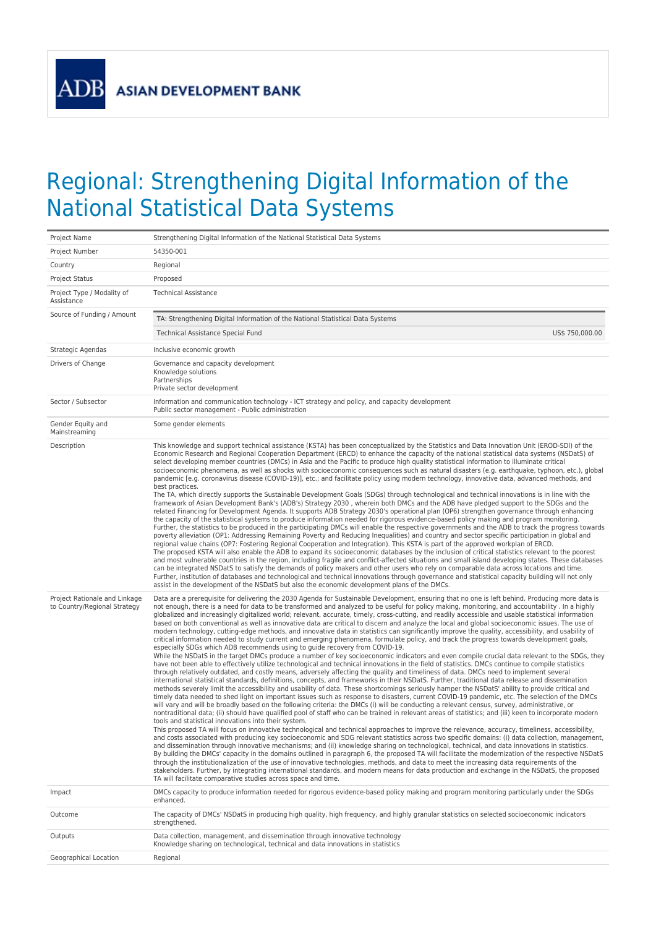**ADB** 

## Regional: Strengthening Digital Information of the National Statistical Data Systems

| Project Name                                                  | Strengthening Digital Information of the National Statistical Data Systems                                                                                                                                                                                                                                                                                                                                                                                                                                                                                                                                                                                                                                                                                                                                                                                                                                                                                                                                                                                                                                                                                                                                                                                                                                                                                                                                                                                                                                                                                                                                                                                                                                                                                                                                                                                                                                                                                                                                                                                                                                                                                                                                                                                                                                                                                                                                                                                                                                                                                                                                                                                                                                                                                                                                                                                                                                                                                                                                                                                                                                                                                                                                                                    |  |
|---------------------------------------------------------------|-----------------------------------------------------------------------------------------------------------------------------------------------------------------------------------------------------------------------------------------------------------------------------------------------------------------------------------------------------------------------------------------------------------------------------------------------------------------------------------------------------------------------------------------------------------------------------------------------------------------------------------------------------------------------------------------------------------------------------------------------------------------------------------------------------------------------------------------------------------------------------------------------------------------------------------------------------------------------------------------------------------------------------------------------------------------------------------------------------------------------------------------------------------------------------------------------------------------------------------------------------------------------------------------------------------------------------------------------------------------------------------------------------------------------------------------------------------------------------------------------------------------------------------------------------------------------------------------------------------------------------------------------------------------------------------------------------------------------------------------------------------------------------------------------------------------------------------------------------------------------------------------------------------------------------------------------------------------------------------------------------------------------------------------------------------------------------------------------------------------------------------------------------------------------------------------------------------------------------------------------------------------------------------------------------------------------------------------------------------------------------------------------------------------------------------------------------------------------------------------------------------------------------------------------------------------------------------------------------------------------------------------------------------------------------------------------------------------------------------------------------------------------------------------------------------------------------------------------------------------------------------------------------------------------------------------------------------------------------------------------------------------------------------------------------------------------------------------------------------------------------------------------------------------------------------------------------------------------------------------------|--|
| Project Number                                                | 54350-001                                                                                                                                                                                                                                                                                                                                                                                                                                                                                                                                                                                                                                                                                                                                                                                                                                                                                                                                                                                                                                                                                                                                                                                                                                                                                                                                                                                                                                                                                                                                                                                                                                                                                                                                                                                                                                                                                                                                                                                                                                                                                                                                                                                                                                                                                                                                                                                                                                                                                                                                                                                                                                                                                                                                                                                                                                                                                                                                                                                                                                                                                                                                                                                                                                     |  |
| Country                                                       | Regional                                                                                                                                                                                                                                                                                                                                                                                                                                                                                                                                                                                                                                                                                                                                                                                                                                                                                                                                                                                                                                                                                                                                                                                                                                                                                                                                                                                                                                                                                                                                                                                                                                                                                                                                                                                                                                                                                                                                                                                                                                                                                                                                                                                                                                                                                                                                                                                                                                                                                                                                                                                                                                                                                                                                                                                                                                                                                                                                                                                                                                                                                                                                                                                                                                      |  |
| Project Status                                                | Proposed                                                                                                                                                                                                                                                                                                                                                                                                                                                                                                                                                                                                                                                                                                                                                                                                                                                                                                                                                                                                                                                                                                                                                                                                                                                                                                                                                                                                                                                                                                                                                                                                                                                                                                                                                                                                                                                                                                                                                                                                                                                                                                                                                                                                                                                                                                                                                                                                                                                                                                                                                                                                                                                                                                                                                                                                                                                                                                                                                                                                                                                                                                                                                                                                                                      |  |
| Project Type / Modality of<br>Assistance                      | <b>Technical Assistance</b>                                                                                                                                                                                                                                                                                                                                                                                                                                                                                                                                                                                                                                                                                                                                                                                                                                                                                                                                                                                                                                                                                                                                                                                                                                                                                                                                                                                                                                                                                                                                                                                                                                                                                                                                                                                                                                                                                                                                                                                                                                                                                                                                                                                                                                                                                                                                                                                                                                                                                                                                                                                                                                                                                                                                                                                                                                                                                                                                                                                                                                                                                                                                                                                                                   |  |
| Source of Funding / Amount                                    | TA: Strengthening Digital Information of the National Statistical Data Systems                                                                                                                                                                                                                                                                                                                                                                                                                                                                                                                                                                                                                                                                                                                                                                                                                                                                                                                                                                                                                                                                                                                                                                                                                                                                                                                                                                                                                                                                                                                                                                                                                                                                                                                                                                                                                                                                                                                                                                                                                                                                                                                                                                                                                                                                                                                                                                                                                                                                                                                                                                                                                                                                                                                                                                                                                                                                                                                                                                                                                                                                                                                                                                |  |
|                                                               | US\$ 750,000.00<br>Technical Assistance Special Fund                                                                                                                                                                                                                                                                                                                                                                                                                                                                                                                                                                                                                                                                                                                                                                                                                                                                                                                                                                                                                                                                                                                                                                                                                                                                                                                                                                                                                                                                                                                                                                                                                                                                                                                                                                                                                                                                                                                                                                                                                                                                                                                                                                                                                                                                                                                                                                                                                                                                                                                                                                                                                                                                                                                                                                                                                                                                                                                                                                                                                                                                                                                                                                                          |  |
| Strategic Agendas                                             | Inclusive economic growth                                                                                                                                                                                                                                                                                                                                                                                                                                                                                                                                                                                                                                                                                                                                                                                                                                                                                                                                                                                                                                                                                                                                                                                                                                                                                                                                                                                                                                                                                                                                                                                                                                                                                                                                                                                                                                                                                                                                                                                                                                                                                                                                                                                                                                                                                                                                                                                                                                                                                                                                                                                                                                                                                                                                                                                                                                                                                                                                                                                                                                                                                                                                                                                                                     |  |
| Drivers of Change                                             | Governance and capacity development<br>Knowledge solutions<br>Partnerships<br>Private sector development                                                                                                                                                                                                                                                                                                                                                                                                                                                                                                                                                                                                                                                                                                                                                                                                                                                                                                                                                                                                                                                                                                                                                                                                                                                                                                                                                                                                                                                                                                                                                                                                                                                                                                                                                                                                                                                                                                                                                                                                                                                                                                                                                                                                                                                                                                                                                                                                                                                                                                                                                                                                                                                                                                                                                                                                                                                                                                                                                                                                                                                                                                                                      |  |
| Sector / Subsector                                            | Information and communication technology - ICT strategy and policy, and capacity development<br>Public sector management - Public administration                                                                                                                                                                                                                                                                                                                                                                                                                                                                                                                                                                                                                                                                                                                                                                                                                                                                                                                                                                                                                                                                                                                                                                                                                                                                                                                                                                                                                                                                                                                                                                                                                                                                                                                                                                                                                                                                                                                                                                                                                                                                                                                                                                                                                                                                                                                                                                                                                                                                                                                                                                                                                                                                                                                                                                                                                                                                                                                                                                                                                                                                                              |  |
| Gender Equity and<br>Mainstreaming                            | Some gender elements                                                                                                                                                                                                                                                                                                                                                                                                                                                                                                                                                                                                                                                                                                                                                                                                                                                                                                                                                                                                                                                                                                                                                                                                                                                                                                                                                                                                                                                                                                                                                                                                                                                                                                                                                                                                                                                                                                                                                                                                                                                                                                                                                                                                                                                                                                                                                                                                                                                                                                                                                                                                                                                                                                                                                                                                                                                                                                                                                                                                                                                                                                                                                                                                                          |  |
| Description                                                   | This knowledge and support technical assistance (KSTA) has been conceptualized by the Statistics and Data Innovation Unit (EROD-SDI) of the<br>Economic Research and Regional Cooperation Department (ERCD) to enhance the capacity of the national statistical data systems (NSDatS) of<br>select developing member countries (DMCs) in Asia and the Pacific to produce high quality statistical information to illuminate critical<br>socioeconomic phenomena, as well as shocks with socioeconomic consequences such as natural disasters (e.g. earthquake, typhoon, etc.), global<br>pandemic [e.g. coronavirus disease (COVID-19)], etc.; and facilitate policy using modern technology, innovative data, advanced methods, and<br>best practices.<br>The TA, which directly supports the Sustainable Development Goals (SDGs) through technological and technical innovations is in line with the<br>framework of Asian Development Bank's (ADB's) Strategy 2030, wherein both DMCs and the ADB have pledged support to the SDGs and the<br>related Financing for Development Agenda. It supports ADB Strategy 2030's operational plan (OP6) strengthen governance through enhancing<br>the capacity of the statistical systems to produce information needed for rigorous evidence-based policy making and program monitoring.<br>Further, the statistics to be produced in the participating DMCs will enable the respective governments and the ADB to track the progress towards<br>poverty alleviation (OP1: Addressing Remaining Poverty and Reducing Inequalities) and country and sector specific participation in global and<br>regional value chains (OP7: Fostering Regional Cooperation and Integration). This KSTA is part of the approved workplan of ERCD.<br>The proposed KSTA will also enable the ADB to expand its socioeconomic databases by the inclusion of critical statistics relevant to the poorest<br>and most vulnerable countries in the region, including fragile and conflict-affected situations and small island developing states. These databases<br>can be integrated NSDatS to satisfy the demands of policy makers and other users who rely on comparable data across locations and time.<br>Further, institution of databases and technological and technical innovations through governance and statistical capacity building will not only<br>assist in the development of the NSDatS but also the economic development plans of the DMCs.                                                                                                                                                                                                                                                                                                                                                                                                                                                                                                                                                                                                                                                                                                                                                     |  |
| Project Rationale and Linkage<br>to Country/Regional Strategy | Data are a prerequisite for delivering the 2030 Agenda for Sustainable Development, ensuring that no one is left behind. Producing more data is<br>not enough, there is a need for data to be transformed and analyzed to be useful for policy making, monitoring, and accountability. In a highly<br>globalized and increasingly digitalized world; relevant, accurate, timely, cross-cutting, and readily accessible and usable statistical information<br>based on both conventional as well as innovative data are critical to discern and analyze the local and global socioeconomic issues. The use of<br>modern technology, cutting-edge methods, and innovative data in statistics can significantly improve the quality, accessibility, and usability of<br>critical information needed to study current and emerging phenomena, formulate policy, and track the progress towards development goals,<br>especially SDGs which ADB recommends using to guide recovery from COVID-19.<br>While the NSDatS in the target DMCs produce a number of key socioeconomic indicators and even compile crucial data relevant to the SDGs, they<br>have not been able to effectively utilize technological and technical innovations in the field of statistics. DMCs continue to compile statistics<br>through relatively outdated, and costly means, adversely affecting the quality and timeliness of data. DMCs need to implement several<br>international statistical standards, definitions, concepts, and frameworks in their NSDatS. Further, traditional data release and dissemination<br>methods severely limit the accessibility and usability of data. These shortcomings seriously hamper the NSDatS' ability to provide critical and<br>timely data needed to shed light on important issues such as response to disasters, current COVID-19 pandemic, etc. The selection of the DMCs<br>will vary and will be broadly based on the following criteria: the DMCs (i) will be conducting a relevant census, survey, administrative, or<br>nontraditional data; (ii) should have qualified pool of staff who can be trained in relevant areas of statistics; and (iii) keen to incorporate modern<br>tools and statistical innovations into their system.<br>This proposed TA will focus on innovative technological and technical approaches to improve the relevance, accuracy, timeliness, accessibility,<br>and costs associated with producing key socioeconomic and SDG relevant statistics across two specific domains: (i) data collection, management,<br>and dissemination through innovative mechanisms; and (ii) knowledge sharing on technological, technical, and data innovations in statistics.<br>By building the DMCs' capacity in the domains outlined in paragraph 6, the proposed TA will facilitate the modernization of the respective NSDatS<br>through the institutionalization of the use of innovative technologies, methods, and data to meet the increasing data requirements of the<br>stakeholders. Further, by integrating international standards, and modern means for data production and exchange in the NSDatS, the proposed<br>TA will facilitate comparative studies across space and time. |  |
| Impact                                                        | DMCs capacity to produce information needed for rigorous evidence-based policy making and program monitoring particularly under the SDGs<br>enhanced.                                                                                                                                                                                                                                                                                                                                                                                                                                                                                                                                                                                                                                                                                                                                                                                                                                                                                                                                                                                                                                                                                                                                                                                                                                                                                                                                                                                                                                                                                                                                                                                                                                                                                                                                                                                                                                                                                                                                                                                                                                                                                                                                                                                                                                                                                                                                                                                                                                                                                                                                                                                                                                                                                                                                                                                                                                                                                                                                                                                                                                                                                         |  |
| Outcome                                                       | The capacity of DMCs' NSDatS in producing high quality, high frequency, and highly granular statistics on selected socioeconomic indicators<br>strengthened.                                                                                                                                                                                                                                                                                                                                                                                                                                                                                                                                                                                                                                                                                                                                                                                                                                                                                                                                                                                                                                                                                                                                                                                                                                                                                                                                                                                                                                                                                                                                                                                                                                                                                                                                                                                                                                                                                                                                                                                                                                                                                                                                                                                                                                                                                                                                                                                                                                                                                                                                                                                                                                                                                                                                                                                                                                                                                                                                                                                                                                                                                  |  |
| Outputs                                                       | Data collection, management, and dissemination through innovative technology<br>Knowledge sharing on technological, technical and data innovations in statistics                                                                                                                                                                                                                                                                                                                                                                                                                                                                                                                                                                                                                                                                                                                                                                                                                                                                                                                                                                                                                                                                                                                                                                                                                                                                                                                                                                                                                                                                                                                                                                                                                                                                                                                                                                                                                                                                                                                                                                                                                                                                                                                                                                                                                                                                                                                                                                                                                                                                                                                                                                                                                                                                                                                                                                                                                                                                                                                                                                                                                                                                              |  |
| Geographical Location                                         | Regional                                                                                                                                                                                                                                                                                                                                                                                                                                                                                                                                                                                                                                                                                                                                                                                                                                                                                                                                                                                                                                                                                                                                                                                                                                                                                                                                                                                                                                                                                                                                                                                                                                                                                                                                                                                                                                                                                                                                                                                                                                                                                                                                                                                                                                                                                                                                                                                                                                                                                                                                                                                                                                                                                                                                                                                                                                                                                                                                                                                                                                                                                                                                                                                                                                      |  |